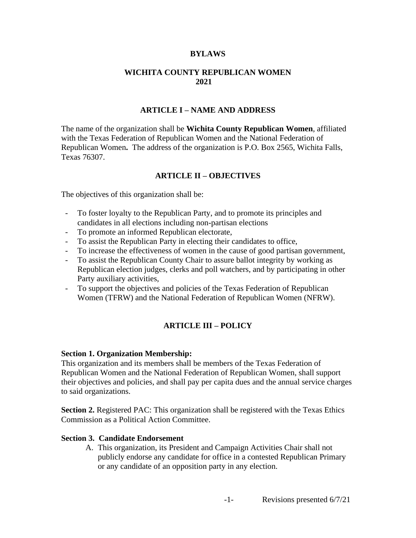### **BYLAWS**

## **WICHITA COUNTY REPUBLICAN WOMEN 2021**

#### **ARTICLE I – NAME AND ADDRESS**

The name of the organization shall be **Wichita County Republican Women**, affiliated with the Texas Federation of Republican Women and the National Federation of Republican Women**.** The address of the organization is P.O. Box 2565, Wichita Falls, Texas 76307.

### **ARTICLE II – OBJECTIVES**

The objectives of this organization shall be:

- To foster loyalty to the Republican Party, and to promote its principles and candidates in all elections including non-partisan elections
- To promote an informed Republican electorate,
- To assist the Republican Party in electing their candidates to office,
- To increase the effectiveness of women in the cause of good partisan government,
- To assist the Republican County Chair to assure ballot integrity by working as Republican election judges, clerks and poll watchers, and by participating in other Party auxiliary activities,
- To support the objectives and policies of the Texas Federation of Republican Women (TFRW) and the National Federation of Republican Women (NFRW).

# **ARTICLE III – POLICY**

#### **Section 1. Organization Membership:**

This organization and its members shall be members of the Texas Federation of Republican Women and the National Federation of Republican Women, shall support their objectives and policies, and shall pay per capita dues and the annual service charges to said organizations.

**Section 2.** Registered PAC: This organization shall be registered with the Texas Ethics Commission as a Political Action Committee.

#### **Section 3. Candidate Endorsement**

A. This organization, its President and Campaign Activities Chair shall not publicly endorse any candidate for office in a contested Republican Primary or any candidate of an opposition party in any election.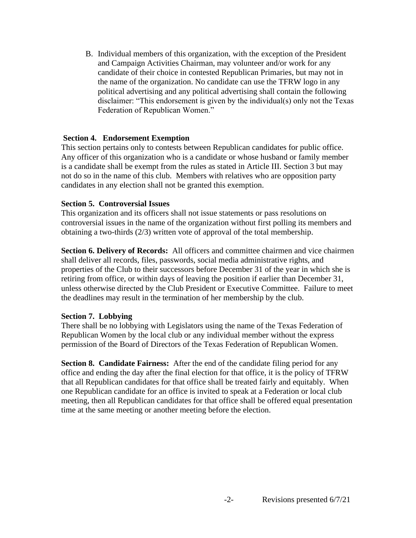B. Individual members of this organization, with the exception of the President and Campaign Activities Chairman, may volunteer and/or work for any candidate of their choice in contested Republican Primaries, but may not in the name of the organization. No candidate can use the TFRW logo in any political advertising and any political advertising shall contain the following disclaimer: "This endorsement is given by the individual(s) only not the Texas Federation of Republican Women."

# **Section 4. Endorsement Exemption**

This section pertains only to contests between Republican candidates for public office. Any officer of this organization who is a candidate or whose husband or family member is a candidate shall be exempt from the rules as stated in Article III. Section 3 but may not do so in the name of this club. Members with relatives who are opposition party candidates in any election shall not be granted this exemption.

## **Section 5. Controversial Issues**

This organization and its officers shall not issue statements or pass resolutions on controversial issues in the name of the organization without first polling its members and obtaining a two-thirds (2/3) written vote of approval of the total membership.

**Section 6. Delivery of Records:** All officers and committee chairmen and vice chairmen shall deliver all records, files, passwords, social media administrative rights, and properties of the Club to their successors before December 31 of the year in which she is retiring from office, or within days of leaving the position if earlier than December 31, unless otherwise directed by the Club President or Executive Committee. Failure to meet the deadlines may result in the termination of her membership by the club.

## **Section 7. Lobbying**

There shall be no lobbying with Legislators using the name of the Texas Federation of Republican Women by the local club or any individual member without the express permission of the Board of Directors of the Texas Federation of Republican Women.

**Section 8. Candidate Fairness:** After the end of the candidate filing period for any office and ending the day after the final election for that office, it is the policy of TFRW that all Republican candidates for that office shall be treated fairly and equitably. When one Republican candidate for an office is invited to speak at a Federation or local club meeting, then all Republican candidates for that office shall be offered equal presentation time at the same meeting or another meeting before the election.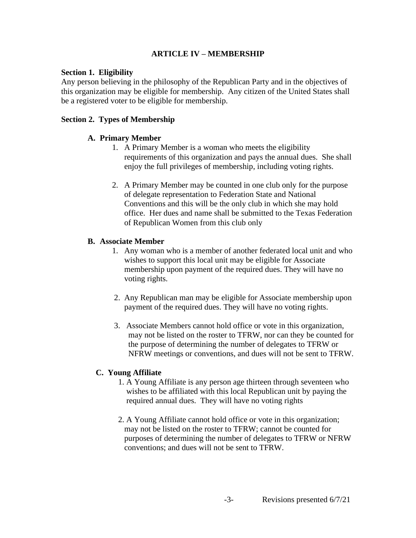# **ARTICLE IV – MEMBERSHIP**

## **Section 1. Eligibility**

Any person believing in the philosophy of the Republican Party and in the objectives of this organization may be eligible for membership. Any citizen of the United States shall be a registered voter to be eligible for membership.

# **Section 2. Types of Membership**

## **A. Primary Member**

- 1. A Primary Member is a woman who meets the eligibility requirements of this organization and pays the annual dues. She shall enjoy the full privileges of membership, including voting rights.
- 2. A Primary Member may be counted in one club only for the purpose of delegate representation to Federation State and National Conventions and this will be the only club in which she may hold office. Her dues and name shall be submitted to the Texas Federation of Republican Women from this club only

## **B. Associate Member**

- 1. Any woman who is a member of another federated local unit and who wishes to support this local unit may be eligible for Associate membership upon payment of the required dues. They will have no voting rights.
- 2. Any Republican man may be eligible for Associate membership upon payment of the required dues. They will have no voting rights.
- 3. Associate Members cannot hold office or vote in this organization, may not be listed on the roster to TFRW, nor can they be counted for the purpose of determining the number of delegates to TFRW or NFRW meetings or conventions, and dues will not be sent to TFRW.

## **C. Young Affiliate**

- 1. A Young Affiliate is any person age thirteen through seventeen who wishes to be affiliated with this local Republican unit by paying the required annual dues. They will have no voting rights
- 2. A Young Affiliate cannot hold office or vote in this organization; may not be listed on the roster to TFRW; cannot be counted for purposes of determining the number of delegates to TFRW or NFRW conventions; and dues will not be sent to TFRW.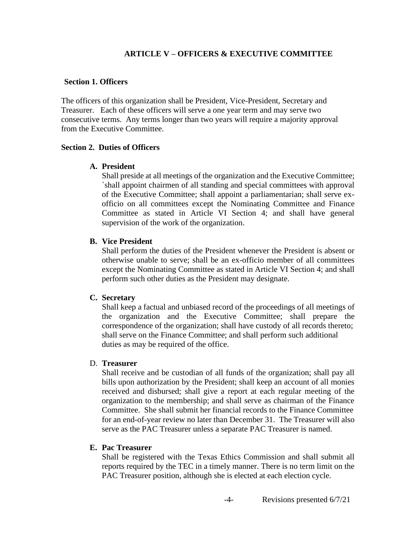## **ARTICLE V – OFFICERS & EXECUTIVE COMMITTEE**

### **Section 1. Officers**

The officers of this organization shall be President, Vice-President, Secretary and Treasurer. Each of these officers will serve a one year term and may serve two consecutive terms. Any terms longer than two years will require a majority approval from the Executive Committee.

## **Section 2. Duties of Officers**

## **A. President**

Shall preside at all meetings of the organization and the Executive Committee; `shall appoint chairmen of all standing and special committees with approval of the Executive Committee; shall appoint a parliamentarian; shall serve exofficio on all committees except the Nominating Committee and Finance Committee as stated in Article VI Section 4; and shall have general supervision of the work of the organization.

## **B. Vice President**

Shall perform the duties of the President whenever the President is absent or otherwise unable to serve; shall be an ex-officio member of all committees except the Nominating Committee as stated in Article VI Section 4; and shall perform such other duties as the President may designate.

## **C. Secretary**

Shall keep a factual and unbiased record of the proceedings of all meetings of the organization and the Executive Committee; shall prepare the correspondence of the organization; shall have custody of all records thereto; shall serve on the Finance Committee; and shall perform such additional duties as may be required of the office.

## D. **Treasurer**

Shall receive and be custodian of all funds of the organization; shall pay all bills upon authorization by the President; shall keep an account of all monies received and disbursed; shall give a report at each regular meeting of the organization to the membership; and shall serve as chairman of the Finance Committee. She shall submit her financial records to the Finance Committee for an end-of-year review no later than December 31. The Treasurer will also serve as the PAC Treasurer unless a separate PAC Treasurer is named.

## **E. Pac Treasurer**

Shall be registered with the Texas Ethics Commission and shall submit all reports required by the TEC in a timely manner. There is no term limit on the PAC Treasurer position, although she is elected at each election cycle.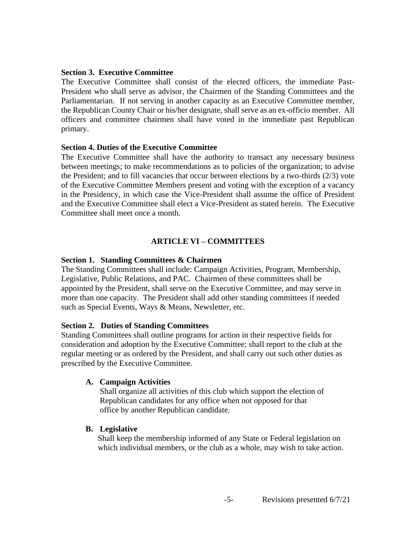### **Section 3. Executive Committee**

The Executive Committee shall consist of the elected officers, the immediate Past-President who shall serve as advisor, the Chairmen of the Standing Committees and the Parliamentarian. If not serving in another capacity as an Executive Committee member, the Republican County Chair or his/her designate, shall serve as an ex-officio member. All officers and committee chairmen shall have voted in the immediate past Republican primary.

### **Section 4. Duties of the Executive Committee**

The Executive Committee shall have the authority to transact any necessary business between meetings; to make recommendations as to policies of the organization; to advise the President; and to fill vacancies that occur between elections by a two-thirds (2/3) vote of the Executive Committee Members present and voting with the exception of a vacancy in the Presidency, in which case the Vice-President shall assume the office of President and the Executive Committee shall elect a Vice-President as stated herein. The Executive Committee shall meet once a month.

## **ARTICLE VI – COMMITTEES**

### **Section 1. Standing Committees & Chairmen**

The Standing Committees shall include: Campaign Activities, Program, Membership, Legislative, Public Relations, and PAC. Chairmen of these committees shall be appointed by the President, shall serve on the Executive Committee, and may serve in more than one capacity. The President shall add other standing committees if needed such as Special Events, Ways & Means, Newsletter, etc.

#### **Section 2. Duties of Standing Committees**

Standing Committees shall outline programs for action in their respective fields for consideration and adoption by the Executive Committee; shall report to the club at the regular meeting or as ordered by the President, and shall carry out such other duties as prescribed by the Executive Committee.

## **A. Campaign Activities**

 Shall organize all activities of this club which support the election of Republican candidates for any office when not opposed for that office by another Republican candidate.

## **B. Legislative**

Shall keep the membership informed of any State or Federal legislation on which individual members, or the club as a whole, may wish to take action.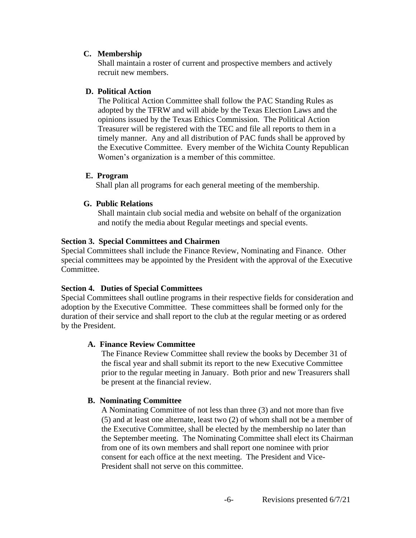# **C. Membership**

Shall maintain a roster of current and prospective members and actively recruit new members.

# **D. Political Action**

The Political Action Committee shall follow the PAC Standing Rules as adopted by the TFRW and will abide by the Texas Election Laws and the opinions issued by the Texas Ethics Commission. The Political Action Treasurer will be registered with the TEC and file all reports to them in a timely manner. Any and all distribution of PAC funds shall be approved by the Executive Committee. Every member of the Wichita County Republican Women's organization is a member of this committee.

# **E. Program**

Shall plan all programs for each general meeting of the membership.

# **G. Public Relations**

Shall maintain club social media and website on behalf of the organization and notify the media about Regular meetings and special events.

# **Section 3. Special Committees and Chairmen**

Special Committees shall include the Finance Review, Nominating and Finance. Other special committees may be appointed by the President with the approval of the Executive Committee.

# **Section 4. Duties of Special Committees**

Special Committees shall outline programs in their respective fields for consideration and adoption by the Executive Committee. These committees shall be formed only for the duration of their service and shall report to the club at the regular meeting or as ordered by the President.

# **A. Finance Review Committee**

The Finance Review Committee shall review the books by December 31 of the fiscal year and shall submit its report to the new Executive Committee prior to the regular meeting in January. Both prior and new Treasurers shall be present at the financial review.

# **B. Nominating Committee**

A Nominating Committee of not less than three (3) and not more than five (5) and at least one alternate, least two (2) of whom shall not be a member of the Executive Committee, shall be elected by the membership no later than the September meeting. The Nominating Committee shall elect its Chairman from one of its own members and shall report one nominee with prior consent for each office at the next meeting. The President and Vice-President shall not serve on this committee.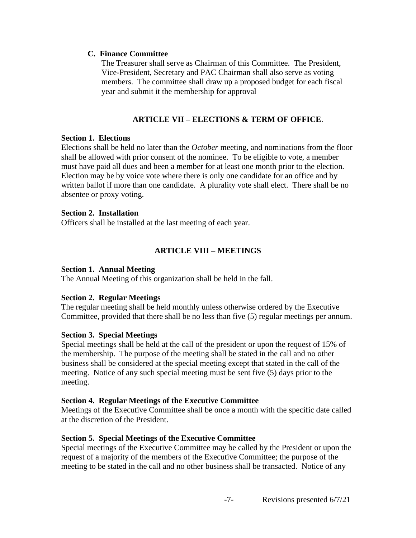## **C. Finance Committee**

The Treasurer shall serve as Chairman of this Committee. The President, Vice-President, Secretary and PAC Chairman shall also serve as voting members. The committee shall draw up a proposed budget for each fiscal year and submit it the membership for approval

# **ARTICLE VII – ELECTIONS & TERM OF OFFICE**.

# **Section 1. Elections**

Elections shall be held no later than the *October* meeting, and nominations from the floor shall be allowed with prior consent of the nominee. To be eligible to vote, a member must have paid all dues and been a member for at least one month prior to the election*.*  Election may be by voice vote where there is only one candidate for an office and by written ballot if more than one candidate. A plurality vote shall elect. There shall be no absentee or proxy voting.

## **Section 2. Installation**

Officers shall be installed at the last meeting of each year.

# **ARTICLE VIII – MEETINGS**

# **Section 1. Annual Meeting**

The Annual Meeting of this organization shall be held in the fall.

# **Section 2. Regular Meetings**

The regular meeting shall be held monthly unless otherwise ordered by the Executive Committee, provided that there shall be no less than five (5) regular meetings per annum.

# **Section 3. Special Meetings**

Special meetings shall be held at the call of the president or upon the request of 15% of the membership. The purpose of the meeting shall be stated in the call and no other business shall be considered at the special meeting except that stated in the call of the meeting. Notice of any such special meeting must be sent five (5) days prior to the meeting.

## **Section 4. Regular Meetings of the Executive Committee**

Meetings of the Executive Committee shall be once a month with the specific date called at the discretion of the President.

# **Section 5. Special Meetings of the Executive Committee**

Special meetings of the Executive Committee may be called by the President or upon the request of a majority of the members of the Executive Committee; the purpose of the meeting to be stated in the call and no other business shall be transacted. Notice of any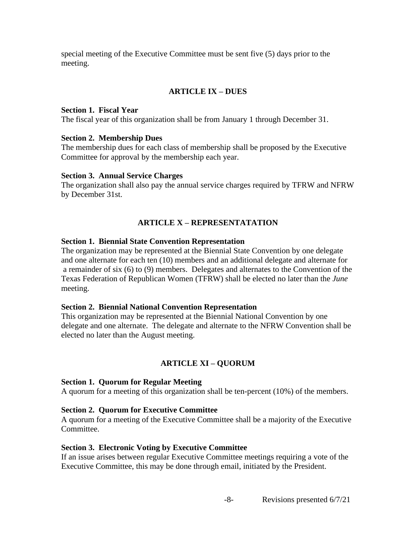special meeting of the Executive Committee must be sent five (5) days prior to the meeting.

# **ARTICLE IX – DUES**

## **Section 1. Fiscal Year**

The fiscal year of this organization shall be from January 1 through December 31.

### **Section 2. Membership Dues**

The membership dues for each class of membership shall be proposed by the Executive Committee for approval by the membership each year.

### **Section 3. Annual Service Charges**

The organization shall also pay the annual service charges required by TFRW and NFRW by December 31st.

## **ARTICLE X – REPRESENTATATION**

## **Section 1. Biennial State Convention Representation**

The organization may be represented at the Biennial State Convention by one delegate and one alternate for each ten (10) members and an additional delegate and alternate for a remainder of six (6) to (9) members. Delegates and alternates to the Convention of the Texas Federation of Republican Women (TFRW) shall be elected no later than the *June* meeting.

## **Section 2. Biennial National Convention Representation**

This organization may be represented at the Biennial National Convention by one delegate and one alternate. The delegate and alternate to the NFRW Convention shall be elected no later than the August meeting.

# **ARTICLE XI – QUORUM**

## **Section 1. Quorum for Regular Meeting**

A quorum for a meeting of this organization shall be ten-percent (10%) of the members.

## **Section 2. Quorum for Executive Committee**

A quorum for a meeting of the Executive Committee shall be a majority of the Executive Committee.

## **Section 3. Electronic Voting by Executive Committee**

If an issue arises between regular Executive Committee meetings requiring a vote of the Executive Committee, this may be done through email, initiated by the President.